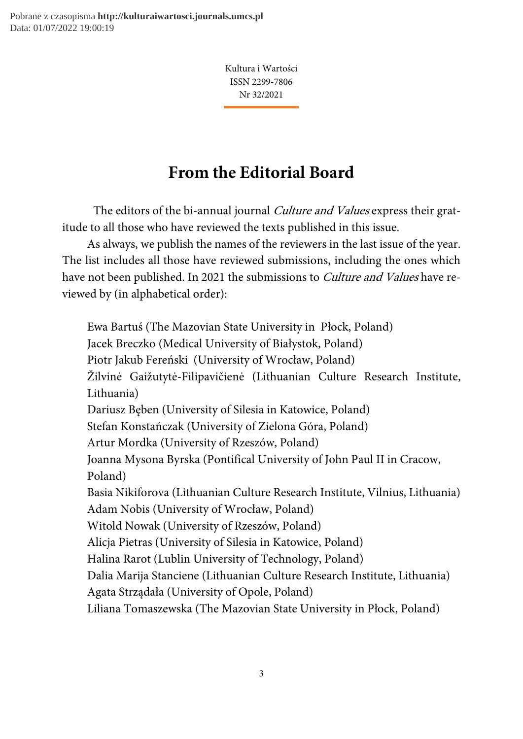Pobrane z czasopisma **http://kulturaiwartosci.journals.umcs.pl** Data: 01/07/2022 19:00:19

> Kultura i Wartości ISSN 2299-7806 Nr 32/2021

## From the Editorial Board

The editors of the bi-annual journal *Culture and Values* express their gratitude to all those who have reviewed the texts published in this issue.

As always, we publish the names of the reviewers in the last issue of the year. The list includes all those have reviewed submissions, including the ones which have not been published. In 2021 the submissions to *Culture and Values* have reviewed by (in alphabetical order):

Ewa Bartuś (The Mazovian State University in Płock, Poland) Jacek Breczko (Medical University of Białystok, Poland) Piotr Jakub Fereński (University of Wrocław, Poland) Žilvinė Gaižutytė-Filipavičienė (Lithuanian Culture Research Institute, Lithuania) Dariusz Bęben (University of Silesia in Katowice, Poland) Stefan Konstańczak (University of Zielona Góra, Poland) Artur Mordka (University of Rzeszów, Poland) Joanna Mysona Byrska (Pontifical University of John Paul II in Cracow, Poland) Basia Nikiforova (Lithuanian Culture Research Institute, Vilnius, Lithuania) Adam Nobis (University of Wrocław, Poland) Witold Nowak (University of Rzeszów, Poland) Alicja Pietras (University of Silesia in Katowice, Poland) Halina Rarot (Lublin University of Technology, Poland) Dalia Marija Stanciene (Lithuanian Culture Research Institute, Lithuania) Agata Strządała (University of Opole, Poland) Liliana Tomaszewska (The Mazovian State University in Płock, Poland)